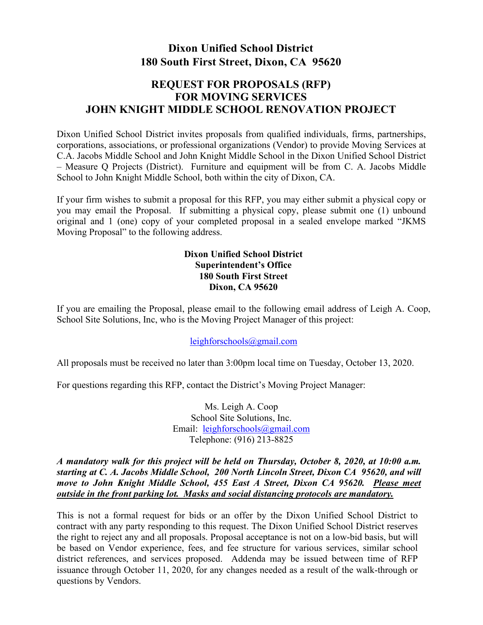# **Dixon Unified School District 180 South First Street, Dixon, CA 95620**

## **REQUEST FOR PROPOSALS (RFP) FOR MOVING SERVICES JOHN KNIGHT MIDDLE SCHOOL RENOVATION PROJECT**

Dixon Unified School District invites proposals from qualified individuals, firms, partnerships, corporations, associations, or professional organizations (Vendor) to provide Moving Services at C.A. Jacobs Middle School and John Knight Middle School in the Dixon Unified School District – Measure Q Projects (District). Furniture and equipment will be from C. A. Jacobs Middle School to John Knight Middle School, both within the city of Dixon, CA.

If your firm wishes to submit a proposal for this RFP, you may either submit a physical copy or you may email the Proposal. If submitting a physical copy, please submit one (1) unbound original and 1 (one) copy of your completed proposal in a sealed envelope marked "JKMS Moving Proposal" to the following address.

## **Dixon Unified School District Superintendent's Office 180 South First Street Dixon, CA 95620**

If you are emailing the Proposal, please email to the following email address of Leigh A. Coop, School Site Solutions, Inc, who is the Moving Project Manager of this project:

### [leighforschools@gmail.com](mailto:leighforschools@gmail.com)

All proposals must be received no later than 3:00pm local time on Tuesday, October 13, 2020.

For questions regarding this RFP, contact the District's Moving Project Manager:

Ms. Leigh A. Coop School Site Solutions, Inc. Email: [leighforschools@gmail.com](mailto:leighforschools@gmail.com) Telephone: (916) 213-8825

*A mandatory walk for this project will be held on Thursday, October 8, 2020, at 10:00 a.m. starting at C. A. Jacobs Middle School, 200 North Lincoln Street, Dixon CA 95620, and will move to John Knight Middle School, 455 East A Street, Dixon CA 95620. Please meet outside in the front parking lot. Masks and social distancing protocols are mandatory.*

This is not a formal request for bids or an offer by the Dixon Unified School District to contract with any party responding to this request. The Dixon Unified School District reserves the right to reject any and all proposals. Proposal acceptance is not on a low-bid basis, but will be based on Vendor experience, fees, and fee structure for various services, similar school district references, and services proposed. Addenda may be issued between time of RFP issuance through October 11, 2020, for any changes needed as a result of the walk-through or questions by Vendors.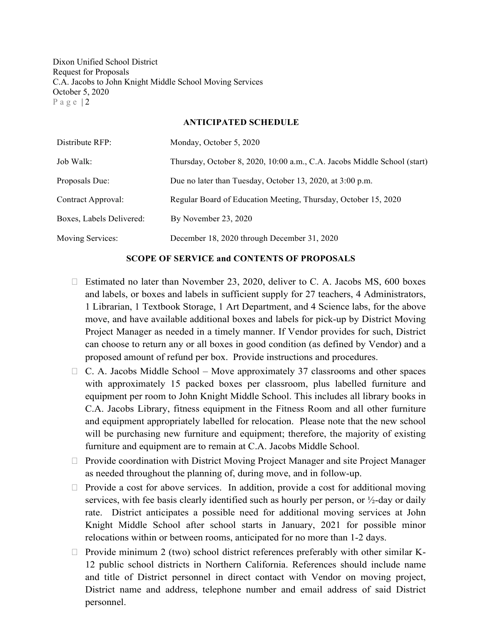Dixon Unified School District Request for Proposals C.A. Jacobs to John Knight Middle School Moving Services October 5, 2020 Page | 2

#### **ANTICIPATED SCHEDULE**

| Distribute RFP:          | Monday, October 5, 2020                                                  |
|--------------------------|--------------------------------------------------------------------------|
| Job Walk:                | Thursday, October 8, 2020, 10:00 a.m., C.A. Jacobs Middle School (start) |
| Proposals Due:           | Due no later than Tuesday, October 13, 2020, at 3:00 p.m.                |
| Contract Approval:       | Regular Board of Education Meeting, Thursday, October 15, 2020           |
| Boxes, Labels Delivered: | By November 23, 2020                                                     |
| Moving Services:         | December 18, 2020 through December 31, 2020                              |

#### **SCOPE OF SERVICE and CONTENTS OF PROPOSALS**

- $\Box$  Estimated no later than November 23, 2020, deliver to C. A. Jacobs MS, 600 boxes and labels, or boxes and labels in sufficient supply for 27 teachers, 4 Administrators, 1 Librarian, 1 Textbook Storage, 1 Art Department, and 4 Science labs, for the above move, and have available additional boxes and labels for pick-up by District Moving Project Manager as needed in a timely manner. If Vendor provides for such, District can choose to return any or all boxes in good condition (as defined by Vendor) and a proposed amount of refund per box. Provide instructions and procedures.
- $\Box$  C. A. Jacobs Middle School Move approximately 37 classrooms and other spaces with approximately 15 packed boxes per classroom, plus labelled furniture and equipment per room to John Knight Middle School. This includes all library books in C.A. Jacobs Library, fitness equipment in the Fitness Room and all other furniture and equipment appropriately labelled for relocation. Please note that the new school will be purchasing new furniture and equipment; therefore, the majority of existing furniture and equipment are to remain at C.A. Jacobs Middle School.
- $\Box$  Provide coordination with District Moving Project Manager and site Project Manager as needed throughout the planning of, during move, and in follow-up.
- $\Box$  Provide a cost for above services. In addition, provide a cost for additional moving services, with fee basis clearly identified such as hourly per person, or  $\frac{1}{2}$ -day or daily rate. District anticipates a possible need for additional moving services at John Knight Middle School after school starts in January, 2021 for possible minor relocations within or between rooms, anticipated for no more than 1-2 days.
- $\Box$  Provide minimum 2 (two) school district references preferably with other similar K-12 public school districts in Northern California. References should include name and title of District personnel in direct contact with Vendor on moving project, District name and address, telephone number and email address of said District personnel.